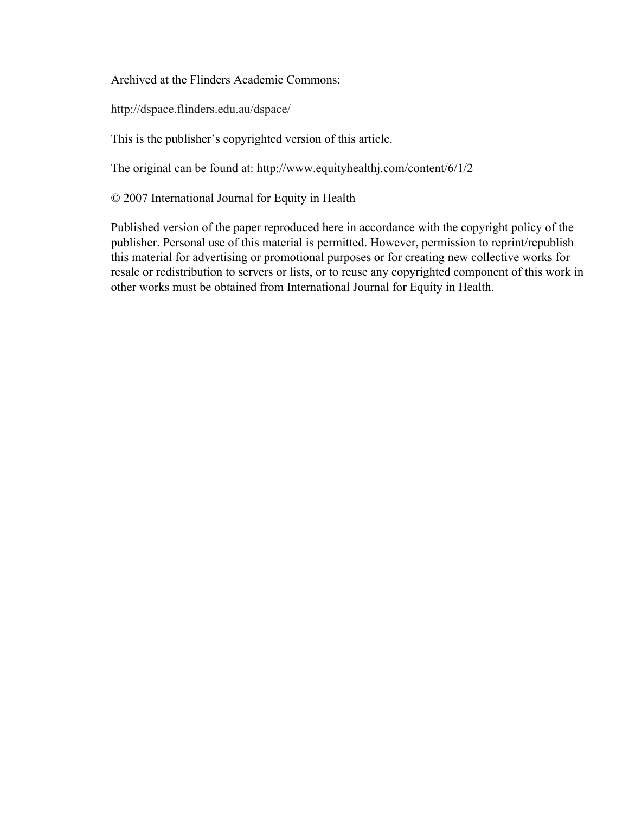Archived at the Flinders Academic Commons:

http://dspace.flinders.edu.au/dspace/

This is the publisher's copyrighted version of this article.

The original can be found at: http://www.equityhealthj.com/content/6/1/2

© 2007 International Journal for Equity in Health

Published version of the paper reproduced here in accordance with the copyright policy of the publisher. Personal use of this material is permitted. However, permission to reprint/republish this material for advertising or promotional purposes or for creating new collective works for resale or redistribution to servers or lists, or to reuse any copyrighted component of this work in other works must be obtained from International Journal for Equity in Health.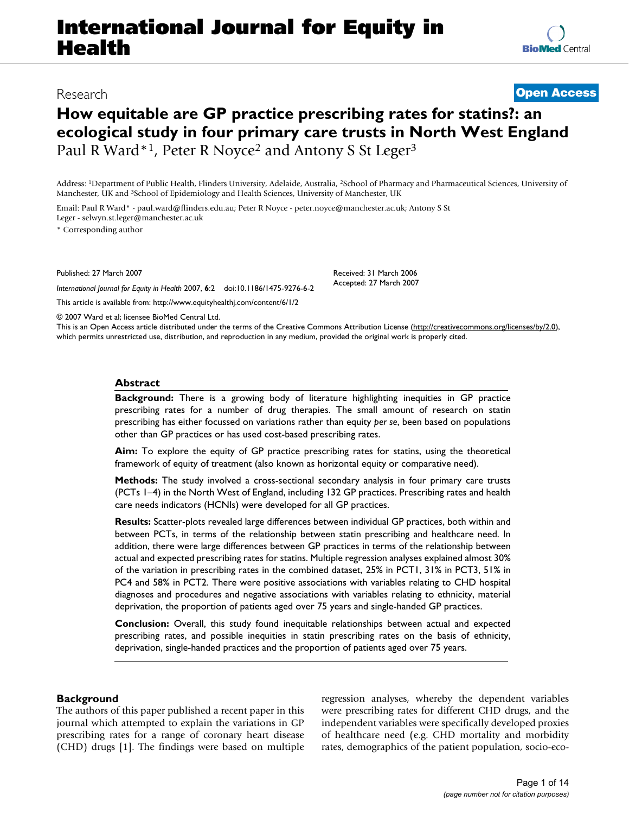# **International Journal for Equity in Health**

## Research **[Open Access](http://www.biomedcentral.com/info/about/charter/)**

## **How equitable are GP practice prescribing rates for statins?: an ecological study in four primary care trusts in North West England** Paul R Ward\*1, Peter R Noyce<sup>2</sup> and Antony S St Leger<sup>3</sup>

Address: 1Department of Public Health, Flinders University, Adelaide, Australia, 2School of Pharmacy and Pharmaceutical Sciences, University of Manchester, UK and 3School of Epidemiology and Health Sciences, University of Manchester, UK

Email: Paul R Ward\* - paul.ward@flinders.edu.au; Peter R Noyce - peter.noyce@manchester.ac.uk; Antony S St Leger - selwyn.st.leger@manchester.ac.uk

\* Corresponding author

Published: 27 March 2007

*International Journal for Equity in Health* 2007, **6**:2 doi:10.1186/1475-9276-6-2

[This article is available from: http://www.equityhealthj.com/content/6/1/2](http://www.equityhealthj.com/content/6/1/2)

© 2007 Ward et al; licensee BioMed Central Ltd.

This is an Open Access article distributed under the terms of the Creative Commons Attribution License [\(http://creativecommons.org/licenses/by/2.0\)](http://creativecommons.org/licenses/by/2.0), which permits unrestricted use, distribution, and reproduction in any medium, provided the original work is properly cited.

Received: 31 March 2006 Accepted: 27 March 2007

#### **Abstract**

**Background:** There is a growing body of literature highlighting inequities in GP practice prescribing rates for a number of drug therapies. The small amount of research on statin prescribing has either focussed on variations rather than equity *per se*, been based on populations other than GP practices or has used cost-based prescribing rates.

**Aim:** To explore the equity of GP practice prescribing rates for statins, using the theoretical framework of equity of treatment (also known as horizontal equity or comparative need).

**Methods:** The study involved a cross-sectional secondary analysis in four primary care trusts (PCTs 1–4) in the North West of England, including 132 GP practices. Prescribing rates and health care needs indicators (HCNIs) were developed for all GP practices.

**Results:** Scatter-plots revealed large differences between individual GP practices, both within and between PCTs, in terms of the relationship between statin prescribing and healthcare need. In addition, there were large differences between GP practices in terms of the relationship between actual and expected prescribing rates for statins. Multiple regression analyses explained almost 30% of the variation in prescribing rates in the combined dataset, 25% in PCT1, 31% in PCT3, 51% in PC4 and 58% in PCT2. There were positive associations with variables relating to CHD hospital diagnoses and procedures and negative associations with variables relating to ethnicity, material deprivation, the proportion of patients aged over 75 years and single-handed GP practices.

**Conclusion:** Overall, this study found inequitable relationships between actual and expected prescribing rates, and possible inequities in statin prescribing rates on the basis of ethnicity, deprivation, single-handed practices and the proportion of patients aged over 75 years.

#### **Background**

The authors of this paper published a recent paper in this journal which attempted to explain the variations in GP prescribing rates for a range of coronary heart disease (CHD) drugs [1]. The findings were based on multiple regression analyses, whereby the dependent variables were prescribing rates for different CHD drugs, and the independent variables were specifically developed proxies of healthcare need (e.g. CHD mortality and morbidity rates, demographics of the patient population, socio-eco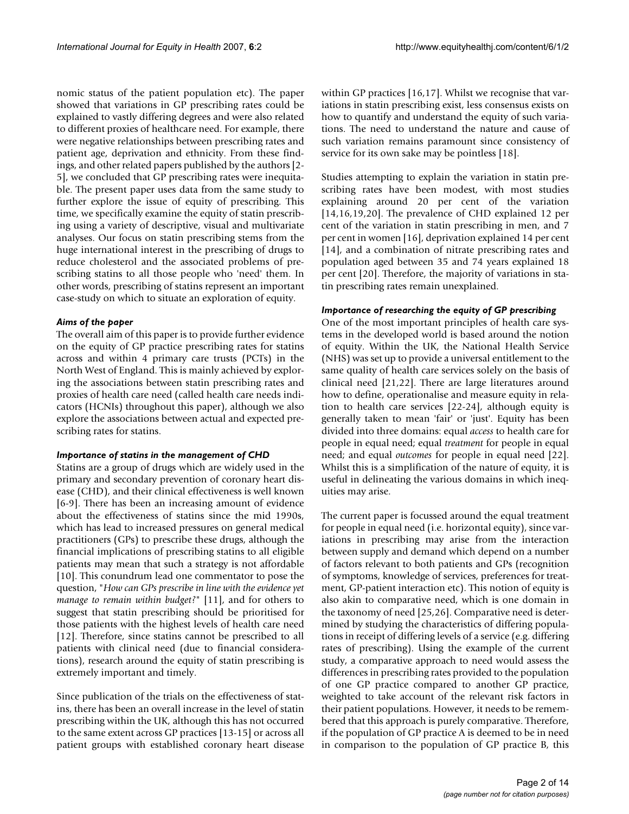nomic status of the patient population etc). The paper showed that variations in GP prescribing rates could be explained to vastly differing degrees and were also related to different proxies of healthcare need. For example, there were negative relationships between prescribing rates and patient age, deprivation and ethnicity. From these findings, and other related papers published by the authors [2- 5], we concluded that GP prescribing rates were inequitable. The present paper uses data from the same study to further explore the issue of equity of prescribing. This time, we specifically examine the equity of statin prescribing using a variety of descriptive, visual and multivariate analyses. Our focus on statin prescribing stems from the huge international interest in the prescribing of drugs to reduce cholesterol and the associated problems of prescribing statins to all those people who 'need' them. In other words, prescribing of statins represent an important case-study on which to situate an exploration of equity.

#### *Aims of the paper*

The overall aim of this paper is to provide further evidence on the equity of GP practice prescribing rates for statins across and within 4 primary care trusts (PCTs) in the North West of England. This is mainly achieved by exploring the associations between statin prescribing rates and proxies of health care need (called health care needs indicators (HCNIs) throughout this paper), although we also explore the associations between actual and expected prescribing rates for statins.

## *Importance of statins in the management of CHD*

Statins are a group of drugs which are widely used in the primary and secondary prevention of coronary heart disease (CHD), and their clinical effectiveness is well known [6-9]. There has been an increasing amount of evidence about the effectiveness of statins since the mid 1990s, which has lead to increased pressures on general medical practitioners (GPs) to prescribe these drugs, although the financial implications of prescribing statins to all eligible patients may mean that such a strategy is not affordable [10]. This conundrum lead one commentator to pose the question, "*How can GPs prescribe in line with the evidence yet manage to remain within budget?*" [11], and for others to suggest that statin prescribing should be prioritised for those patients with the highest levels of health care need [12]. Therefore, since statins cannot be prescribed to all patients with clinical need (due to financial considerations), research around the equity of statin prescribing is extremely important and timely.

Since publication of the trials on the effectiveness of statins, there has been an overall increase in the level of statin prescribing within the UK, although this has not occurred to the same extent across GP practices [13-15] or across all patient groups with established coronary heart disease

within GP practices [16,17]. Whilst we recognise that variations in statin prescribing exist, less consensus exists on how to quantify and understand the equity of such variations. The need to understand the nature and cause of such variation remains paramount since consistency of service for its own sake may be pointless [18].

Studies attempting to explain the variation in statin prescribing rates have been modest, with most studies explaining around 20 per cent of the variation [14,16,19,20]. The prevalence of CHD explained 12 per cent of the variation in statin prescribing in men, and 7 per cent in women [16], deprivation explained 14 per cent [14], and a combination of nitrate prescribing rates and population aged between 35 and 74 years explained 18 per cent [20]. Therefore, the majority of variations in statin prescribing rates remain unexplained.

#### *Importance of researching the equity of GP prescribing*

One of the most important principles of health care systems in the developed world is based around the notion of equity. Within the UK, the National Health Service (NHS) was set up to provide a universal entitlement to the same quality of health care services solely on the basis of clinical need [21,22]. There are large literatures around how to define, operationalise and measure equity in relation to health care services [22-24], although equity is generally taken to mean 'fair' or 'just'. Equity has been divided into three domains: equal *access* to health care for people in equal need; equal *treatment* for people in equal need; and equal *outcomes* for people in equal need [22]. Whilst this is a simplification of the nature of equity, it is useful in delineating the various domains in which inequities may arise.

The current paper is focussed around the equal treatment for people in equal need (i.e. horizontal equity), since variations in prescribing may arise from the interaction between supply and demand which depend on a number of factors relevant to both patients and GPs (recognition of symptoms, knowledge of services, preferences for treatment, GP-patient interaction etc). This notion of equity is also akin to comparative need, which is one domain in the taxonomy of need [25,26]. Comparative need is determined by studying the characteristics of differing populations in receipt of differing levels of a service (e.g. differing rates of prescribing). Using the example of the current study, a comparative approach to need would assess the differences in prescribing rates provided to the population of one GP practice compared to another GP practice, weighted to take account of the relevant risk factors in their patient populations. However, it needs to be remembered that this approach is purely comparative. Therefore, if the population of GP practice A is deemed to be in need in comparison to the population of GP practice B, this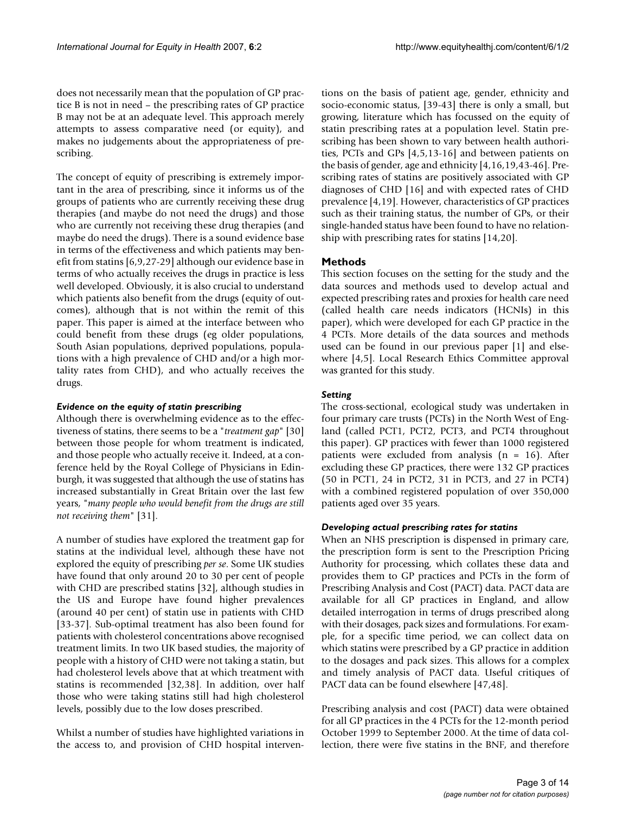does not necessarily mean that the population of GP practice B is not in need – the prescribing rates of GP practice B may not be at an adequate level. This approach merely attempts to assess comparative need (or equity), and makes no judgements about the appropriateness of prescribing.

The concept of equity of prescribing is extremely important in the area of prescribing, since it informs us of the groups of patients who are currently receiving these drug therapies (and maybe do not need the drugs) and those who are currently not receiving these drug therapies (and maybe do need the drugs). There is a sound evidence base in terms of the effectiveness and which patients may benefit from statins [6,9,27-29] although our evidence base in terms of who actually receives the drugs in practice is less well developed. Obviously, it is also crucial to understand which patients also benefit from the drugs (equity of outcomes), although that is not within the remit of this paper. This paper is aimed at the interface between who could benefit from these drugs (eg older populations, South Asian populations, deprived populations, populations with a high prevalence of CHD and/or a high mortality rates from CHD), and who actually receives the drugs.

#### *Evidence on the equity of statin prescribing*

Although there is overwhelming evidence as to the effectiveness of statins, there seems to be a "*treatment gap*" [30] between those people for whom treatment is indicated, and those people who actually receive it. Indeed, at a conference held by the Royal College of Physicians in Edinburgh, it was suggested that although the use of statins has increased substantially in Great Britain over the last few years, "*many people who would benefit from the drugs are still not receiving them*" [31].

A number of studies have explored the treatment gap for statins at the individual level, although these have not explored the equity of prescribing *per se*. Some UK studies have found that only around 20 to 30 per cent of people with CHD are prescribed statins [32], although studies in the US and Europe have found higher prevalences (around 40 per cent) of statin use in patients with CHD [33-37]. Sub-optimal treatment has also been found for patients with cholesterol concentrations above recognised treatment limits. In two UK based studies, the majority of people with a history of CHD were not taking a statin, but had cholesterol levels above that at which treatment with statins is recommended [32,38]. In addition, over half those who were taking statins still had high cholesterol levels, possibly due to the low doses prescribed.

Whilst a number of studies have highlighted variations in the access to, and provision of CHD hospital interventions on the basis of patient age, gender, ethnicity and socio-economic status, [39-43] there is only a small, but growing, literature which has focussed on the equity of statin prescribing rates at a population level. Statin prescribing has been shown to vary between health authorities, PCTs and GPs [4,5,13-16] and between patients on the basis of gender, age and ethnicity [4,16,19,43-46]. Prescribing rates of statins are positively associated with GP diagnoses of CHD [16] and with expected rates of CHD prevalence [4,19]. However, characteristics of GP practices such as their training status, the number of GPs, or their single-handed status have been found to have no relationship with prescribing rates for statins [14,20].

## **Methods**

This section focuses on the setting for the study and the data sources and methods used to develop actual and expected prescribing rates and proxies for health care need (called health care needs indicators (HCNIs) in this paper), which were developed for each GP practice in the 4 PCTs. More details of the data sources and methods used can be found in our previous paper [1] and elsewhere [4,5]. Local Research Ethics Committee approval was granted for this study.

## *Setting*

The cross-sectional, ecological study was undertaken in four primary care trusts (PCTs) in the North West of England (called PCT1, PCT2, PCT3, and PCT4 throughout this paper). GP practices with fewer than 1000 registered patients were excluded from analysis  $(n = 16)$ . After excluding these GP practices, there were 132 GP practices (50 in PCT1, 24 in PCT2, 31 in PCT3, and 27 in PCT4) with a combined registered population of over 350,000 patients aged over 35 years.

## *Developing actual prescribing rates for statins*

When an NHS prescription is dispensed in primary care, the prescription form is sent to the Prescription Pricing Authority for processing, which collates these data and provides them to GP practices and PCTs in the form of Prescribing Analysis and Cost (PACT) data. PACT data are available for all GP practices in England, and allow detailed interrogation in terms of drugs prescribed along with their dosages, pack sizes and formulations. For example, for a specific time period, we can collect data on which statins were prescribed by a GP practice in addition to the dosages and pack sizes. This allows for a complex and timely analysis of PACT data. Useful critiques of PACT data can be found elsewhere [47,48].

Prescribing analysis and cost (PACT) data were obtained for all GP practices in the 4 PCTs for the 12-month period October 1999 to September 2000. At the time of data collection, there were five statins in the BNF, and therefore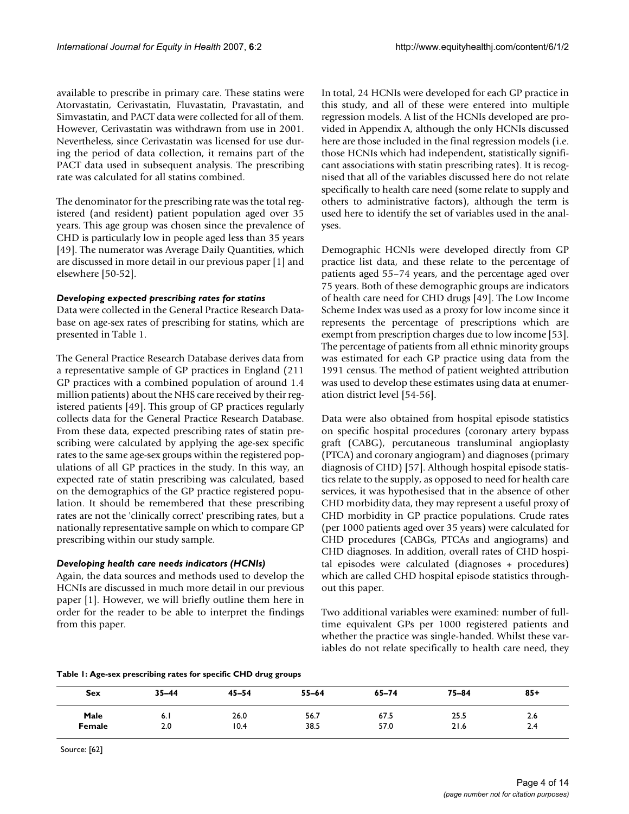available to prescribe in primary care. These statins were Atorvastatin, Cerivastatin, Fluvastatin, Pravastatin, and Simvastatin, and PACT data were collected for all of them. However, Cerivastatin was withdrawn from use in 2001. Nevertheless, since Cerivastatin was licensed for use during the period of data collection, it remains part of the PACT data used in subsequent analysis. The prescribing rate was calculated for all statins combined.

The denominator for the prescribing rate was the total registered (and resident) patient population aged over 35 years. This age group was chosen since the prevalence of CHD is particularly low in people aged less than 35 years [49]. The numerator was Average Daily Quantities, which are discussed in more detail in our previous paper [1] and elsewhere [50-52].

#### *Developing expected prescribing rates for statins*

Data were collected in the General Practice Research Database on age-sex rates of prescribing for statins, which are presented in Table 1.

The General Practice Research Database derives data from a representative sample of GP practices in England (211 GP practices with a combined population of around 1.4 million patients) about the NHS care received by their registered patients [49]. This group of GP practices regularly collects data for the General Practice Research Database. From these data, expected prescribing rates of statin prescribing were calculated by applying the age-sex specific rates to the same age-sex groups within the registered populations of all GP practices in the study. In this way, an expected rate of statin prescribing was calculated, based on the demographics of the GP practice registered population. It should be remembered that these prescribing rates are not the 'clinically correct' prescribing rates, but a nationally representative sample on which to compare GP prescribing within our study sample.

#### *Developing health care needs indicators (HCNIs)*

Again, the data sources and methods used to develop the HCNIs are discussed in much more detail in our previous paper [1]. However, we will briefly outline them here in order for the reader to be able to interpret the findings from this paper.

In total, 24 HCNIs were developed for each GP practice in this study, and all of these were entered into multiple regression models. A list of the HCNIs developed are provided in Appendix A, although the only HCNIs discussed here are those included in the final regression models (i.e. those HCNIs which had independent, statistically significant associations with statin prescribing rates). It is recognised that all of the variables discussed here do not relate specifically to health care need (some relate to supply and others to administrative factors), although the term is used here to identify the set of variables used in the analyses.

Demographic HCNIs were developed directly from GP practice list data, and these relate to the percentage of patients aged 55–74 years, and the percentage aged over 75 years. Both of these demographic groups are indicators of health care need for CHD drugs [49]. The Low Income Scheme Index was used as a proxy for low income since it represents the percentage of prescriptions which are exempt from prescription charges due to low income [53]. The percentage of patients from all ethnic minority groups was estimated for each GP practice using data from the 1991 census. The method of patient weighted attribution was used to develop these estimates using data at enumeration district level [54-56].

Data were also obtained from hospital episode statistics on specific hospital procedures (coronary artery bypass graft (CABG), percutaneous transluminal angioplasty (PTCA) and coronary angiogram) and diagnoses (primary diagnosis of CHD) [57]. Although hospital episode statistics relate to the supply, as opposed to need for health care services, it was hypothesised that in the absence of other CHD morbidity data, they may represent a useful proxy of CHD morbidity in GP practice populations. Crude rates (per 1000 patients aged over 35 years) were calculated for CHD procedures (CABGs, PTCAs and angiograms) and CHD diagnoses. In addition, overall rates of CHD hospital episodes were calculated (diagnoses + procedures) which are called CHD hospital episode statistics throughout this paper.

Two additional variables were examined: number of fulltime equivalent GPs per 1000 registered patients and whether the practice was single-handed. Whilst these variables do not relate specifically to health care need, they

#### **Table 1: Age-sex prescribing rates for specific CHD drug groups**

| Sex    | $35 - 44$ | $45 - 54$ | $55 - 64$ | $65 - 74$ | $75 - 84$ | $85+$ |
|--------|-----------|-----------|-----------|-----------|-----------|-------|
| Male   | 0.1       | 26.0      | 56.7      | 67.5      | 25.5      | 2.6   |
| Female | 2.0       | 10.4      | 38.5      | 57.0      | 21.6      | 2.4   |

Source: [62]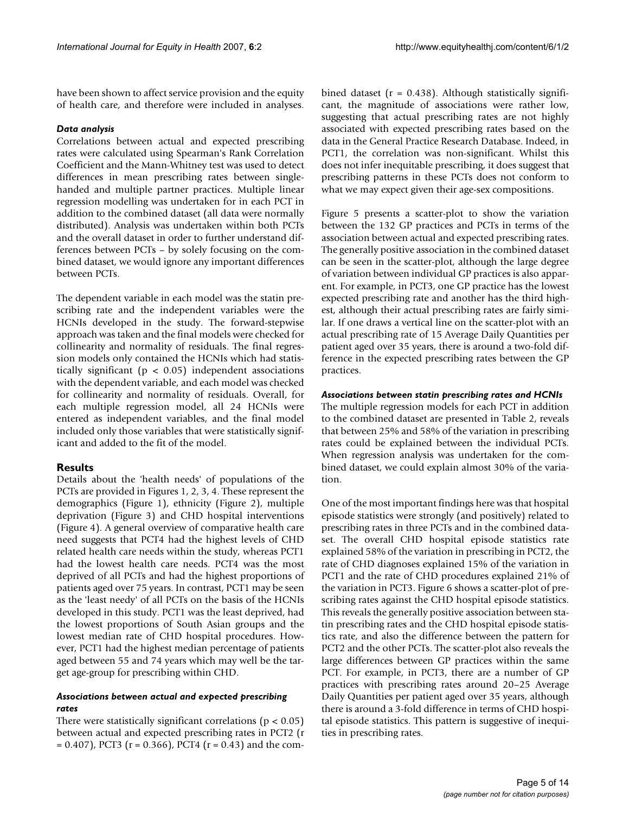have been shown to affect service provision and the equity of health care, and therefore were included in analyses.

#### *Data analysis*

Correlations between actual and expected prescribing rates were calculated using Spearman's Rank Correlation Coefficient and the Mann-Whitney test was used to detect differences in mean prescribing rates between singlehanded and multiple partner practices. Multiple linear regression modelling was undertaken for in each PCT in addition to the combined dataset (all data were normally distributed). Analysis was undertaken within both PCTs and the overall dataset in order to further understand differences between PCTs – by solely focusing on the combined dataset, we would ignore any important differences between PCTs.

The dependent variable in each model was the statin prescribing rate and the independent variables were the HCNIs developed in the study. The forward-stepwise approach was taken and the final models were checked for collinearity and normality of residuals. The final regression models only contained the HCNIs which had statistically significant ( $p < 0.05$ ) independent associations with the dependent variable, and each model was checked for collinearity and normality of residuals. Overall, for each multiple regression model, all 24 HCNIs were entered as independent variables, and the final model included only those variables that were statistically significant and added to the fit of the model.

## **Results**

Details about the 'health needs' of populations of the PCTs are provided in Figures 1, 2, 3, 4. These represent the demographics (Figure 1), ethnicity (Figure 2), multiple deprivation (Figure 3) and CHD hospital interventions (Figure 4). A general overview of comparative health care need suggests that PCT4 had the highest levels of CHD related health care needs within the study, whereas PCT1 had the lowest health care needs. PCT4 was the most deprived of all PCTs and had the highest proportions of patients aged over 75 years. In contrast, PCT1 may be seen as the 'least needy' of all PCTs on the basis of the HCNIs developed in this study. PCT1 was the least deprived, had the lowest proportions of South Asian groups and the lowest median rate of CHD hospital procedures. However, PCT1 had the highest median percentage of patients aged between 55 and 74 years which may well be the target age-group for prescribing within CHD.

#### *Associations between actual and expected prescribing rates*

There were statistically significant correlations ( $p < 0.05$ ) between actual and expected prescribing rates in PCT2 (r  $= 0.407$ ), PCT3 (r = 0.366), PCT4 (r = 0.43) and the combined dataset ( $r = 0.438$ ). Although statistically significant, the magnitude of associations were rather low, suggesting that actual prescribing rates are not highly associated with expected prescribing rates based on the data in the General Practice Research Database. Indeed, in PCT1, the correlation was non-significant. Whilst this does not infer inequitable prescribing, it does suggest that prescribing patterns in these PCTs does not conform to what we may expect given their age-sex compositions.

Figure 5 presents a scatter-plot to show the variation between the 132 GP practices and PCTs in terms of the association between actual and expected prescribing rates. The generally positive association in the combined dataset can be seen in the scatter-plot, although the large degree of variation between individual GP practices is also apparent. For example, in PCT3, one GP practice has the lowest expected prescribing rate and another has the third highest, although their actual prescribing rates are fairly similar. If one draws a vertical line on the scatter-plot with an actual prescribing rate of 15 Average Daily Quantities per patient aged over 35 years, there is around a two-fold difference in the expected prescribing rates between the GP practices.

#### *Associations between statin prescribing rates and HCNIs*

The multiple regression models for each PCT in addition to the combined dataset are presented in Table 2, reveals that between 25% and 58% of the variation in prescribing rates could be explained between the individual PCTs. When regression analysis was undertaken for the combined dataset, we could explain almost 30% of the variation.

One of the most important findings here was that hospital episode statistics were strongly (and positively) related to prescribing rates in three PCTs and in the combined dataset. The overall CHD hospital episode statistics rate explained 58% of the variation in prescribing in PCT2, the rate of CHD diagnoses explained 15% of the variation in PCT1 and the rate of CHD procedures explained 21% of the variation in PCT3. Figure 6 shows a scatter-plot of prescribing rates against the CHD hospital episode statistics. This reveals the generally positive association between statin prescribing rates and the CHD hospital episode statistics rate, and also the difference between the pattern for PCT2 and the other PCTs. The scatter-plot also reveals the large differences between GP practices within the same PCT. For example, in PCT3, there are a number of GP practices with prescribing rates around 20–25 Average Daily Quantities per patient aged over 35 years, although there is around a 3-fold difference in terms of CHD hospital episode statistics. This pattern is suggestive of inequities in prescribing rates.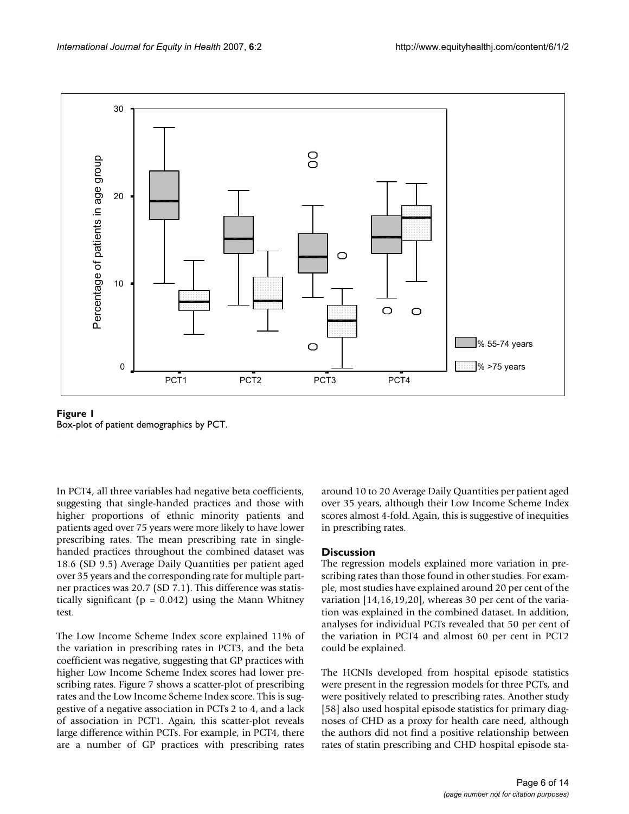

Box-plot of patient demographics by PCT.

In PCT4, all three variables had negative beta coefficients, suggesting that single-handed practices and those with higher proportions of ethnic minority patients and patients aged over 75 years were more likely to have lower prescribing rates. The mean prescribing rate in singlehanded practices throughout the combined dataset was 18.6 (SD 9.5) Average Daily Quantities per patient aged over 35 years and the corresponding rate for multiple partner practices was 20.7 (SD 7.1). This difference was statistically significant ( $p = 0.042$ ) using the Mann Whitney test.

The Low Income Scheme Index score explained 11% of the variation in prescribing rates in PCT3, and the beta coefficient was negative, suggesting that GP practices with higher Low Income Scheme Index scores had lower prescribing rates. Figure 7 shows a scatter-plot of prescribing rates and the Low Income Scheme Index score. This is suggestive of a negative association in PCTs 2 to 4, and a lack of association in PCT1. Again, this scatter-plot reveals large difference within PCTs. For example, in PCT4, there are a number of GP practices with prescribing rates around 10 to 20 Average Daily Quantities per patient aged over 35 years, although their Low Income Scheme Index scores almost 4-fold. Again, this is suggestive of inequities in prescribing rates.

## **Discussion**

The regression models explained more variation in prescribing rates than those found in other studies. For example, most studies have explained around 20 per cent of the variation [14,16,19,20], whereas 30 per cent of the variation was explained in the combined dataset. In addition, analyses for individual PCTs revealed that 50 per cent of the variation in PCT4 and almost 60 per cent in PCT2 could be explained.

The HCNIs developed from hospital episode statistics were present in the regression models for three PCTs, and were positively related to prescribing rates. Another study [58] also used hospital episode statistics for primary diagnoses of CHD as a proxy for health care need, although the authors did not find a positive relationship between rates of statin prescribing and CHD hospital episode sta-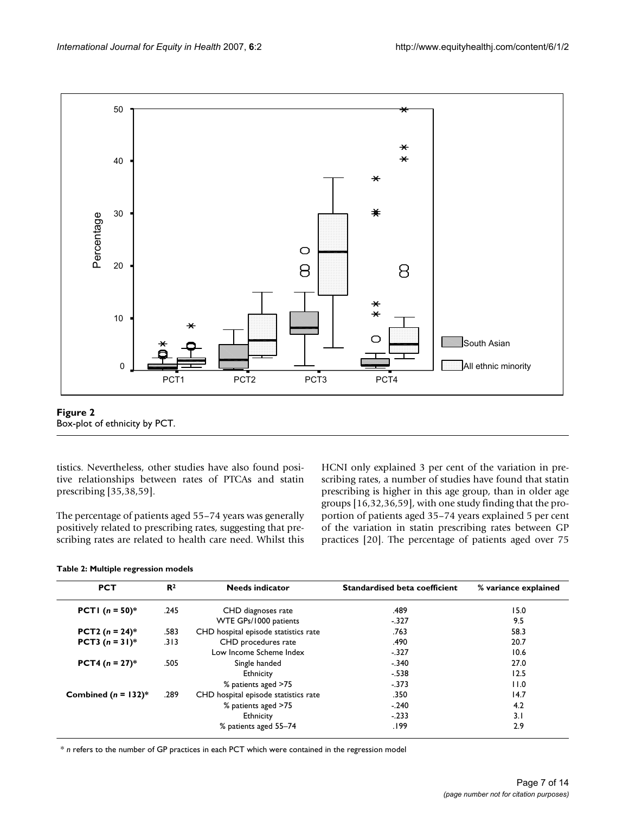

## **Figure 2** Box-plot of ethnicity by PCT.

tistics. Nevertheless, other studies have also found positive relationships between rates of PTCAs and statin prescribing [35,38,59].

The percentage of patients aged 55–74 years was generally positively related to prescribing rates, suggesting that prescribing rates are related to health care need. Whilst this HCNI only explained 3 per cent of the variation in prescribing rates, a number of studies have found that statin prescribing is higher in this age group, than in older age groups [16,32,36,59], with one study finding that the proportion of patients aged 35–74 years explained 5 per cent of the variation in statin prescribing rates between GP practices [20]. The percentage of patients aged over 75

#### **Table 2: Multiple regression models**

| <b>PCT</b>               | R <sup>2</sup> | <b>Needs indicator</b>               | <b>Standardised beta coefficient</b> | % variance explained |
|--------------------------|----------------|--------------------------------------|--------------------------------------|----------------------|
| <b>PCTI</b> $(n = 50)^*$ | .245           | CHD diagnoses rate                   | .489                                 | 15.0                 |
|                          |                | WTE GPs/1000 patients                | $-.327$                              | 9.5                  |
| PCT2 $(n = 24)^*$        | .583           | CHD hospital episode statistics rate | .763                                 | 58.3                 |
| PCT3 $(n = 31)^*$        | .313           | CHD procedures rate                  | .490                                 | 20.7                 |
|                          |                | Low Income Scheme Index              | $-327$                               | 10.6                 |
| PCT4 $(n = 27)^*$        | .505           | Single handed                        | $-.340$                              | 27.0                 |
|                          |                | Ethnicity                            | $-.538$                              | 12.5                 |
|                          |                | % patients aged >75                  | $-373$                               | 11.0                 |
| Combined $(n = 132)^*$   | .289           | CHD hospital episode statistics rate | .350                                 | 14.7                 |
|                          |                | % patients aged >75                  | $-.240$                              | 4.2                  |
|                          |                | Ethnicity                            | $-.233$                              | 3.1                  |
|                          |                | % patients aged 55-74                | .199                                 | 2.9                  |

\* *n* refers to the number of GP practices in each PCT which were contained in the regression model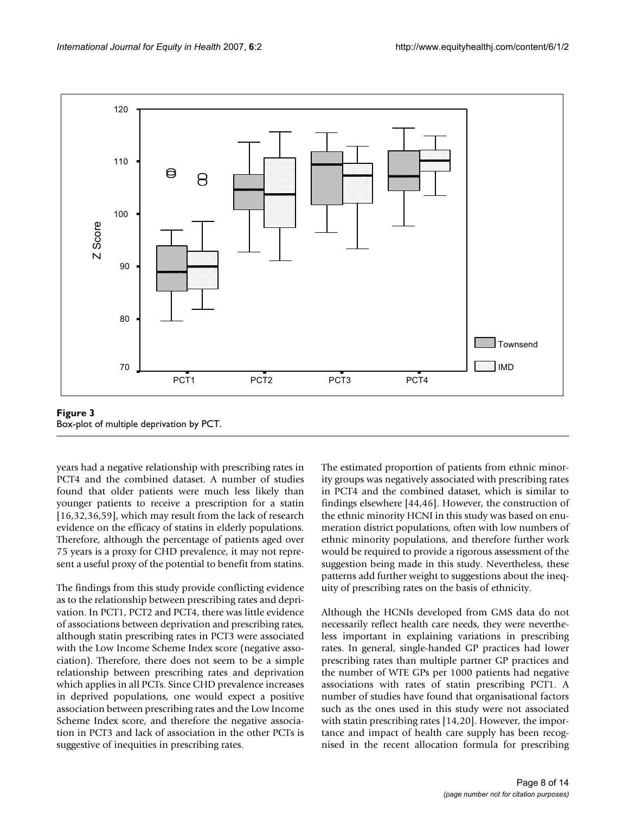

**Figure 3** Box-plot of multiple deprivation by PCT.

years had a negative relationship with prescribing rates in PCT4 and the combined dataset. A number of studies found that older patients were much less likely than younger patients to receive a prescription for a statin [16,32,36,59], which may result from the lack of research evidence on the efficacy of statins in elderly populations. Therefore, although the percentage of patients aged over 75 years is a proxy for CHD prevalence, it may not represent a useful proxy of the potential to benefit from statins.

The findings from this study provide conflicting evidence as to the relationship between prescribing rates and deprivation. In PCT1, PCT2 and PCT4, there was little evidence of associations between deprivation and prescribing rates, although statin prescribing rates in PCT3 were associated with the Low Income Scheme Index score (negative association). Therefore, there does not seem to be a simple relationship between prescribing rates and deprivation which applies in all PCTs. Since CHD prevalence increases in deprived populations, one would expect a positive association between prescribing rates and the Low Income Scheme Index score, and therefore the negative association in PCT3 and lack of association in the other PCTs is suggestive of inequities in prescribing rates.

The estimated proportion of patients from ethnic minority groups was negatively associated with prescribing rates in PCT4 and the combined dataset, which is similar to findings elsewhere [44,46]. However, the construction of the ethnic minority HCNI in this study was based on enumeration district populations, often with low numbers of ethnic minority populations, and therefore further work would be required to provide a rigorous assessment of the suggestion being made in this study. Nevertheless, these patterns add further weight to suggestions about the inequity of prescribing rates on the basis of ethnicity.

Although the HCNIs developed from GMS data do not necessarily reflect health care needs, they were nevertheless important in explaining variations in prescribing rates. In general, single-handed GP practices had lower prescribing rates than multiple partner GP practices and the number of WTE GPs per 1000 patients had negative associations with rates of statin prescribing PCT1. A number of studies have found that organisational factors such as the ones used in this study were not associated with statin prescribing rates [14,20]. However, the importance and impact of health care supply has been recognised in the recent allocation formula for prescribing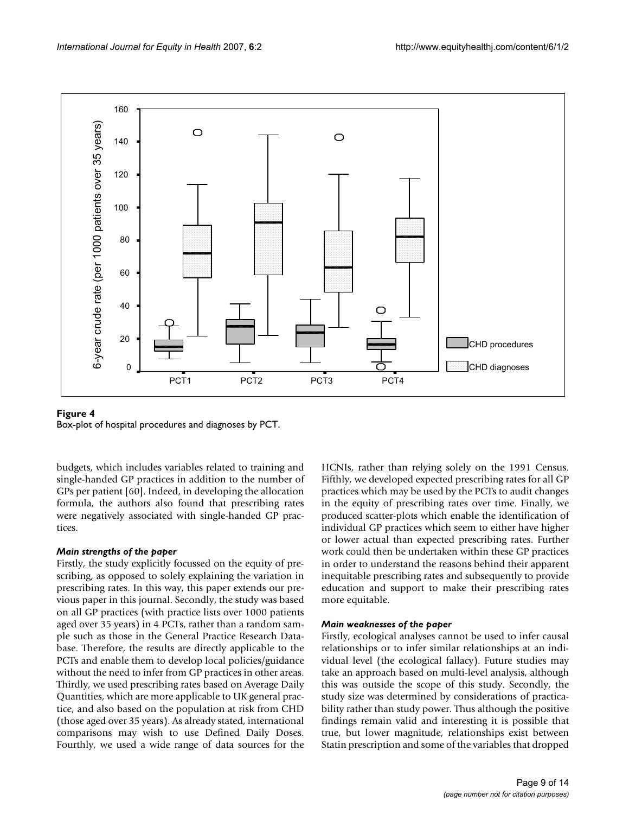

#### **Figure 4** Box-plot of hospital procedures and diagnoses by PCT.

budgets, which includes variables related to training and single-handed GP practices in addition to the number of GPs per patient [60]. Indeed, in developing the allocation formula, the authors also found that prescribing rates were negatively associated with single-handed GP practices.

## *Main strengths of the paper*

Firstly, the study explicitly focussed on the equity of prescribing, as opposed to solely explaining the variation in prescribing rates. In this way, this paper extends our previous paper in this journal. Secondly, the study was based on all GP practices (with practice lists over 1000 patients aged over 35 years) in 4 PCTs, rather than a random sample such as those in the General Practice Research Database. Therefore, the results are directly applicable to the PCTs and enable them to develop local policies/guidance without the need to infer from GP practices in other areas. Thirdly, we used prescribing rates based on Average Daily Quantities, which are more applicable to UK general practice, and also based on the population at risk from CHD (those aged over 35 years). As already stated, international comparisons may wish to use Defined Daily Doses. Fourthly, we used a wide range of data sources for the HCNIs, rather than relying solely on the 1991 Census. Fifthly, we developed expected prescribing rates for all GP practices which may be used by the PCTs to audit changes in the equity of prescribing rates over time. Finally, we produced scatter-plots which enable the identification of individual GP practices which seem to either have higher or lower actual than expected prescribing rates. Further work could then be undertaken within these GP practices in order to understand the reasons behind their apparent inequitable prescribing rates and subsequently to provide education and support to make their prescribing rates more equitable.

#### *Main weaknesses of the paper*

Firstly, ecological analyses cannot be used to infer causal relationships or to infer similar relationships at an individual level (the ecological fallacy). Future studies may take an approach based on multi-level analysis, although this was outside the scope of this study. Secondly, the study size was determined by considerations of practicability rather than study power. Thus although the positive findings remain valid and interesting it is possible that true, but lower magnitude, relationships exist between Statin prescription and some of the variables that dropped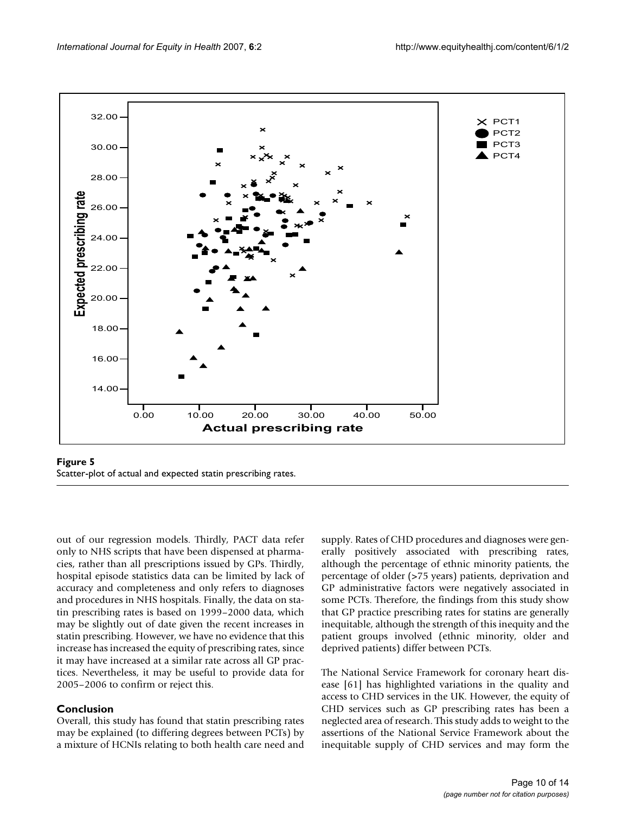

Figure 5 Scatter-plot of actual and expected statin prescribing rates.

out of our regression models. Thirdly, PACT data refer only to NHS scripts that have been dispensed at pharmacies, rather than all prescriptions issued by GPs. Thirdly, hospital episode statistics data can be limited by lack of accuracy and completeness and only refers to diagnoses and procedures in NHS hospitals. Finally, the data on statin prescribing rates is based on 1999–2000 data, which may be slightly out of date given the recent increases in statin prescribing. However, we have no evidence that this increase has increased the equity of prescribing rates, since it may have increased at a similar rate across all GP practices. Nevertheless, it may be useful to provide data for 2005–2006 to confirm or reject this.

## **Conclusion**

Overall, this study has found that statin prescribing rates may be explained (to differing degrees between PCTs) by a mixture of HCNIs relating to both health care need and supply. Rates of CHD procedures and diagnoses were generally positively associated with prescribing rates, although the percentage of ethnic minority patients, the percentage of older (>75 years) patients, deprivation and GP administrative factors were negatively associated in some PCTs. Therefore, the findings from this study show that GP practice prescribing rates for statins are generally inequitable, although the strength of this inequity and the patient groups involved (ethnic minority, older and deprived patients) differ between PCTs.

The National Service Framework for coronary heart disease [61] has highlighted variations in the quality and access to CHD services in the UK. However, the equity of CHD services such as GP prescribing rates has been a neglected area of research. This study adds to weight to the assertions of the National Service Framework about the inequitable supply of CHD services and may form the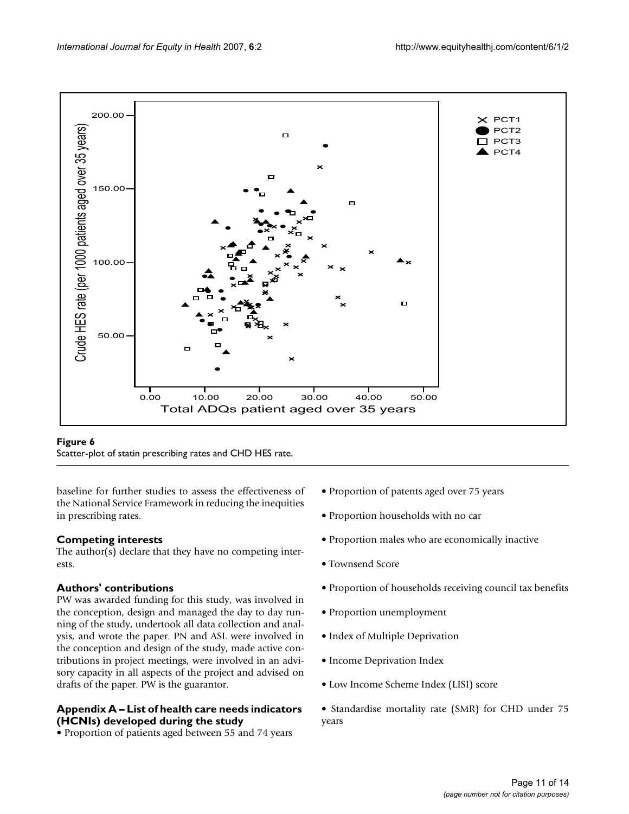

## **Figure 6**

Scatter-plot of statin prescribing rates and CHD HES rate.

baseline for further studies to assess the effectiveness of the National Service Framework in reducing the inequities in prescribing rates.

## **Competing interests**

The author(s) declare that they have no competing interests.

## **Authors' contributions**

PW was awarded funding for this study, was involved in the conception, design and managed the day to day running of the study, undertook all data collection and analysis, and wrote the paper. PN and ASL were involved in the conception and design of the study, made active contributions in project meetings, were involved in an advisory capacity in all aspects of the project and advised on drafts of the paper. PW is the guarantor.

## **Appendix A – List of health care needs indicators (HCNIs) developed during the study**

• Proportion of patients aged between 55 and 74 years

- Proportion of patents aged over 75 years
- Proportion households with no car
- Proportion males who are economically inactive
- Townsend Score
- Proportion of households receiving council tax benefits
- Proportion unemployment
- Index of Multiple Deprivation
- Income Deprivation Index
- Low Income Scheme Index (LISI) score
- Standardise mortality rate (SMR) for CHD under 75 years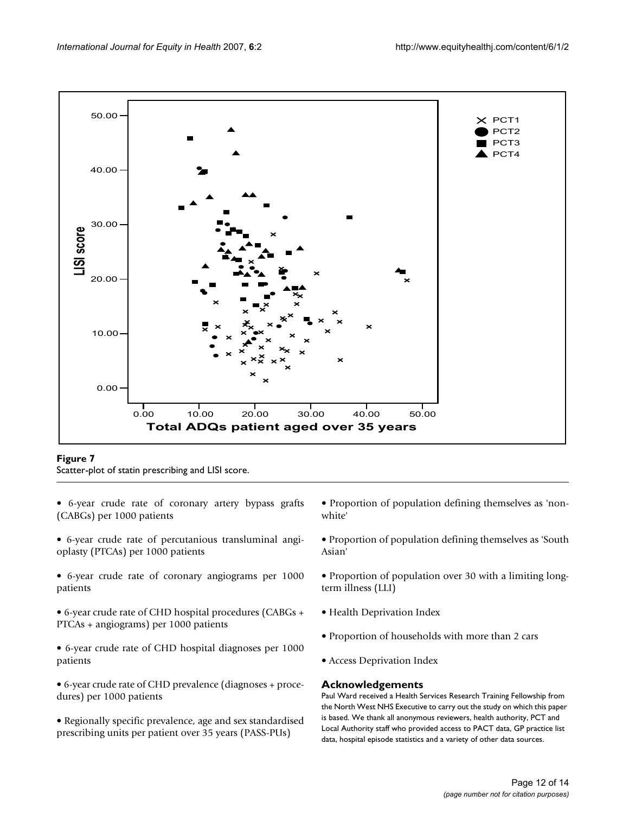

## **Figure 7**

Scatter-plot of statin prescribing and LISI score.

- 6-year crude rate of coronary artery bypass grafts (CABGs) per 1000 patients
- 6-year crude rate of percutanious transluminal angioplasty (PTCAs) per 1000 patients
- 6-year crude rate of coronary angiograms per 1000 patients
- 6-year crude rate of CHD hospital procedures (CABGs + PTCAs + angiograms) per 1000 patients
- 6-year crude rate of CHD hospital diagnoses per 1000 patients
- 6-year crude rate of CHD prevalence (diagnoses + procedures) per 1000 patients
- Regionally specific prevalence, age and sex standardised prescribing units per patient over 35 years (PASS-PUs)
- Proportion of population defining themselves as 'nonwhite'
- Proportion of population defining themselves as 'South Asian'
- Proportion of population over 30 with a limiting longterm illness (LLI)
- Health Deprivation Index
- Proportion of households with more than 2 cars
- Access Deprivation Index

## **Acknowledgements**

Paul Ward received a Health Services Research Training Fellowship from the North West NHS Executive to carry out the study on which this paper is based. We thank all anonymous reviewers, health authority, PCT and Local Authority staff who provided access to PACT data, GP practice list data, hospital episode statistics and a variety of other data sources.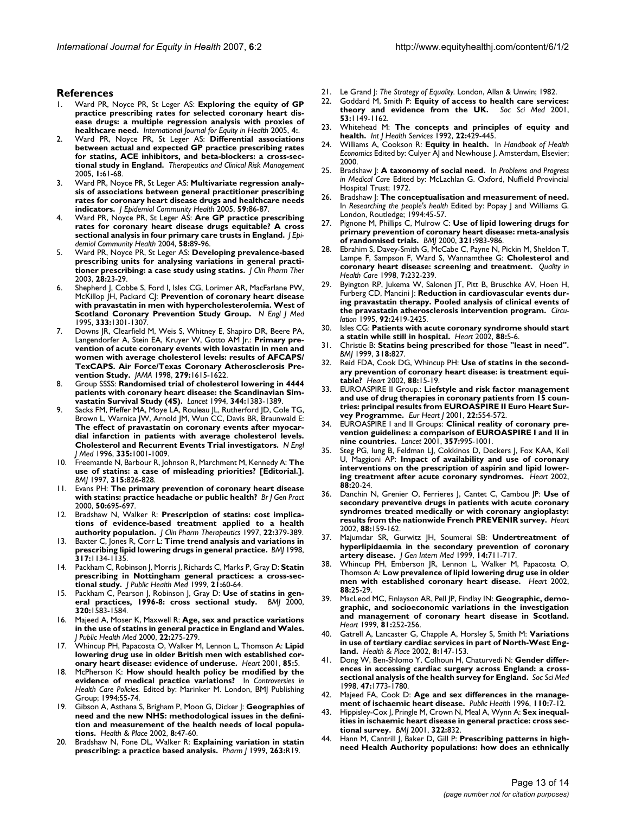#### **References**

- 1. Ward PR, Noyce PR, St Leger AS: **[Exploring the equity of GP](http://www.ncbi.nlm.nih.gov/entrez/query.fcgi?cmd=Retrieve&db=PubMed&dopt=Abstract&list_uids=15701165) [practice prescribing rates for selected coronary heart dis](http://www.ncbi.nlm.nih.gov/entrez/query.fcgi?cmd=Retrieve&db=PubMed&dopt=Abstract&list_uids=15701165)ease drugs: a multiple regression analysis with proxies of [healthcare need.](http://www.ncbi.nlm.nih.gov/entrez/query.fcgi?cmd=Retrieve&db=PubMed&dopt=Abstract&list_uids=15701165)** *International Journal for Equity in Health* 2005, **4:**.
- 2. Ward PR, Noyce PR, St Leger AS: **Differential associations between actual and expected GP practice prescribing rates for statins, ACE inhibitors, and beta-blockers: a cross-sectional study in England.** *Therapeutics and Clinical Risk Management* 2005, **1:**61-68.
- 3. Ward PR, Noyce PR, St Leger AS: **[Multivariate regression analy](http://www.ncbi.nlm.nih.gov/entrez/query.fcgi?cmd=Retrieve&db=PubMed&dopt=Abstract&list_uids=15598733)[sis of associations between general practitioner prescribing](http://www.ncbi.nlm.nih.gov/entrez/query.fcgi?cmd=Retrieve&db=PubMed&dopt=Abstract&list_uids=15598733) rates for coronary heart disease drugs and healthcare needs [indicators.](http://www.ncbi.nlm.nih.gov/entrez/query.fcgi?cmd=Retrieve&db=PubMed&dopt=Abstract&list_uids=15598733)** *J Epidemiol Community Health* 2005, **59:**86-87.
- 4. Ward PR, Noyce PR, St Leger AS: **[Are GP practice prescribing](http://www.ncbi.nlm.nih.gov/entrez/query.fcgi?cmd=Retrieve&db=PubMed&dopt=Abstract&list_uids=14729882) [rates for coronary heart disease drugs equitable? A cross](http://www.ncbi.nlm.nih.gov/entrez/query.fcgi?cmd=Retrieve&db=PubMed&dopt=Abstract&list_uids=14729882) [sectional analysis in four primary care trusts in England.](http://www.ncbi.nlm.nih.gov/entrez/query.fcgi?cmd=Retrieve&db=PubMed&dopt=Abstract&list_uids=14729882)** *J Epidemiol Community Health* 2004, **58:**89-96.
- 5. Ward PR, Noyce PR, St Leger AS: **[Developing prevalence-based](http://www.ncbi.nlm.nih.gov/entrez/query.fcgi?cmd=Retrieve&db=PubMed&dopt=Abstract&list_uids=12605615) [prescribing units for analysing variations in general practi](http://www.ncbi.nlm.nih.gov/entrez/query.fcgi?cmd=Retrieve&db=PubMed&dopt=Abstract&list_uids=12605615)[tioner prescribing: a case study using statins.](http://www.ncbi.nlm.nih.gov/entrez/query.fcgi?cmd=Retrieve&db=PubMed&dopt=Abstract&list_uids=12605615)** *J Clin Pharm Ther* 2003, **28:**23-29.
- 6. Shepherd J, Cobbe S, Ford I, Isles CG, Lorimer AR, MacFarlane PW, McKillop JH, Packard CJ: **[Prevention of coronary heart disease](http://www.ncbi.nlm.nih.gov/entrez/query.fcgi?cmd=Retrieve&db=PubMed&dopt=Abstract&list_uids=7566020) [with pravastatin in men with hypercholesterolemia. West of](http://www.ncbi.nlm.nih.gov/entrez/query.fcgi?cmd=Retrieve&db=PubMed&dopt=Abstract&list_uids=7566020) [Scotland Coronary Prevention Study Group.](http://www.ncbi.nlm.nih.gov/entrez/query.fcgi?cmd=Retrieve&db=PubMed&dopt=Abstract&list_uids=7566020)** *N Engl J Med* 1995, **333:**1301-1307.
- 7. Downs JR, Clearfield M, Weis S, Whitney E, Shapiro DR, Beere PA, Langendorfer A, Stein EA, Kruyer W, Gotto AM Jr.: **[Primary pre](http://www.ncbi.nlm.nih.gov/entrez/query.fcgi?cmd=Retrieve&db=PubMed&dopt=Abstract&list_uids=9613910)vention of acute coronary events with lovastatin in men and [women with average cholesterol levels: results of AFCAPS/](http://www.ncbi.nlm.nih.gov/entrez/query.fcgi?cmd=Retrieve&db=PubMed&dopt=Abstract&list_uids=9613910) TexCAPS. Air Force/Texas Coronary Atherosclerosis Pre[vention Study.](http://www.ncbi.nlm.nih.gov/entrez/query.fcgi?cmd=Retrieve&db=PubMed&dopt=Abstract&list_uids=9613910)** *JAMA* 1998, **279:**1615-1622.
- 8. Group SSSS: **[Randomised trial of cholesterol lowering in 4444](http://www.ncbi.nlm.nih.gov/entrez/query.fcgi?cmd=Retrieve&db=PubMed&dopt=Abstract&list_uids=7968073) [patients with coronary heart disease: the Scandinavian Sim](http://www.ncbi.nlm.nih.gov/entrez/query.fcgi?cmd=Retrieve&db=PubMed&dopt=Abstract&list_uids=7968073)[vastatin Survival Study \(4S\).](http://www.ncbi.nlm.nih.gov/entrez/query.fcgi?cmd=Retrieve&db=PubMed&dopt=Abstract&list_uids=7968073)** *Lancet* 1994, **344:**1383-1389.
- 9. Sacks FM, Pfeffer MA, Moye LA, Rouleau JL, Rutherford JD, Cole TG, Brown L, Warnica JW, Arnold JM, Wun CC, Davis BR, Braunwald E: **[The effect of pravastatin on coronary events after myocar](http://www.ncbi.nlm.nih.gov/entrez/query.fcgi?cmd=Retrieve&db=PubMed&dopt=Abstract&list_uids=8801446)dial infarction in patients with average cholesterol levels. [Cholesterol and Recurrent Events Trial investigators.](http://www.ncbi.nlm.nih.gov/entrez/query.fcgi?cmd=Retrieve&db=PubMed&dopt=Abstract&list_uids=8801446)** *N Engl J Med* 1996, **335:**1001-1009.
- 10. Freemantle N, Barbour R, Johnson R, Marchment M, Kennedy A: **[The](http://www.ncbi.nlm.nih.gov/entrez/query.fcgi?cmd=Retrieve&db=PubMed&dopt=Abstract&list_uids=9353492) [use of statins: a case of misleading priorities? \[Editorial.\].](http://www.ncbi.nlm.nih.gov/entrez/query.fcgi?cmd=Retrieve&db=PubMed&dopt=Abstract&list_uids=9353492)** *BMJ* 1997, **315:**826-828.
- 11. Evans PH: **[The primary prevention of coronary heart disease](http://www.ncbi.nlm.nih.gov/entrez/query.fcgi?cmd=Retrieve&db=PubMed&dopt=Abstract&list_uids=11050782) [with statins: practice headache or public health?](http://www.ncbi.nlm.nih.gov/entrez/query.fcgi?cmd=Retrieve&db=PubMed&dopt=Abstract&list_uids=11050782)** *Br J Gen Pract* 2000, **50:**695-697.
- 12. Bradshaw N, Walker R: **Prescription of statins: cost implications of evidence-based treatment applied to a health authority population.** *J Clin Pharm Therapeutics* 1997, **22:**379-389.
- 13. Baxter C, Jones R, Corr L: **[Time trend analysis and variations in](http://www.ncbi.nlm.nih.gov/entrez/query.fcgi?cmd=Retrieve&db=PubMed&dopt=Abstract&list_uids=9784452) [prescribing lipid lowering drugs in general practice.](http://www.ncbi.nlm.nih.gov/entrez/query.fcgi?cmd=Retrieve&db=PubMed&dopt=Abstract&list_uids=9784452)** *BMJ* 1998, **317:**1134-1135.
- 14. Packham C, Robinson J, Morris J, Richards C, Marks P, Gray D: **[Statin](http://www.ncbi.nlm.nih.gov/entrez/query.fcgi?cmd=Retrieve&db=PubMed&dopt=Abstract&list_uids=10321861) [prescribing in Nottingham general practices: a cross-sec](http://www.ncbi.nlm.nih.gov/entrez/query.fcgi?cmd=Retrieve&db=PubMed&dopt=Abstract&list_uids=10321861)[tional study.](http://www.ncbi.nlm.nih.gov/entrez/query.fcgi?cmd=Retrieve&db=PubMed&dopt=Abstract&list_uids=10321861)** *J Public Health Med* 1999, **21:**60-64.
- 15. Packham C, Pearson J, Robinson J, Gray D: **[Use of statins in gen](http://www.ncbi.nlm.nih.gov/entrez/query.fcgi?cmd=Retrieve&db=PubMed&dopt=Abstract&list_uids=10845969)[eral practices, 1996-8: cross sectional study.](http://www.ncbi.nlm.nih.gov/entrez/query.fcgi?cmd=Retrieve&db=PubMed&dopt=Abstract&list_uids=10845969)** *BMJ* 2000, **320:**1583-1584.
- 16. Majeed A, Moser K, Maxwell R: **[Age, sex and practice variations](http://www.ncbi.nlm.nih.gov/entrez/query.fcgi?cmd=Retrieve&db=PubMed&dopt=Abstract&list_uids=11077897) [in the use of statins in general practice in England and Wales.](http://www.ncbi.nlm.nih.gov/entrez/query.fcgi?cmd=Retrieve&db=PubMed&dopt=Abstract&list_uids=11077897)** *J Public Health Med* 2000, **22:**275-279.
- 17. Whincup PH, Papacosta O, Walker M, Lennon L, Thomson A: **[Lipid](http://www.ncbi.nlm.nih.gov/entrez/query.fcgi?cmd=Retrieve&db=PubMed&dopt=Abstract&list_uids=11119447) [lowering drug use in older British men with established cor](http://www.ncbi.nlm.nih.gov/entrez/query.fcgi?cmd=Retrieve&db=PubMed&dopt=Abstract&list_uids=11119447)[onary heart disease: evidence of underuse.](http://www.ncbi.nlm.nih.gov/entrez/query.fcgi?cmd=Retrieve&db=PubMed&dopt=Abstract&list_uids=11119447)** *Heart* 2001, **85:**5.
- 18. McPherson K: **How should health policy be modified by the evidence of medical practice variations?** In *Controversies in Health Care Policies.* Edited by: Marinker M. London, BMJ Publishing Group; 1994:55-74.
- 19. Gibson A, Asthana S, Brigham P, Moon G, Dicker J: **[Geographies of](http://www.ncbi.nlm.nih.gov/entrez/query.fcgi?cmd=Retrieve&db=PubMed&dopt=Abstract&list_uids=11852263) [need and the new NHS: methodological issues in the defini](http://www.ncbi.nlm.nih.gov/entrez/query.fcgi?cmd=Retrieve&db=PubMed&dopt=Abstract&list_uids=11852263)tion and measurement of the health needs of local popula[tions.](http://www.ncbi.nlm.nih.gov/entrez/query.fcgi?cmd=Retrieve&db=PubMed&dopt=Abstract&list_uids=11852263)** *Health & Place* 2002, **8:**47-60.
- 20. Bradshaw N, Fone DL, Walker R: **Explaining variation in statin prescribing: a practice based analysis.** *Pharm J* 1999, **263:**R19.
- 21. Le Grand J: *The Strategy of Equality.* London, Allan & Unwin; 1982.
- 22. Goddard M, Smith P: **[Equity of access to health care services:](http://www.ncbi.nlm.nih.gov/entrez/query.fcgi?cmd=Retrieve&db=PubMed&dopt=Abstract&list_uids=11556606) [theory and evidence from the UK.](http://www.ncbi.nlm.nih.gov/entrez/query.fcgi?cmd=Retrieve&db=PubMed&dopt=Abstract&list_uids=11556606)** *Soc Sci Med* 2001, **53:**1149-1162.
- 23. Whitehead M: **The concepts and principles of equity and health.** *Int J Health Services* 1992, **22:**429-445.
- 24. Williams A, Cookson R: **Equity in health.** In *Handbook of Health Economics* Edited by: Culyer AJ and Newhouse J. Amsterdam, Elsevier; 2000.
- 25. Bradshaw J: **A taxonomy of social need.** In *Problems and Progress in Medical Care* Edited by: McLachlan G. Oxford, Nuffield Provincial Hospital Trust; 1972.
- 26. Bradshaw J: **The conceptualisation and measurement of need.** In *Researching the people's health* Edited by: Popay J and Williams G. London, Routledge; 1994:45-57.
- 27. Pignone M, Phillips C, Mulrow C: **[Use of lipid lowering drugs for](http://www.ncbi.nlm.nih.gov/entrez/query.fcgi?cmd=Retrieve&db=PubMed&dopt=Abstract&list_uids=11039962) [primary prevention of coronary heart disease: meta-analysis](http://www.ncbi.nlm.nih.gov/entrez/query.fcgi?cmd=Retrieve&db=PubMed&dopt=Abstract&list_uids=11039962) [of randomised trials.](http://www.ncbi.nlm.nih.gov/entrez/query.fcgi?cmd=Retrieve&db=PubMed&dopt=Abstract&list_uids=11039962)** *BMJ* 2000, **321:**983-986.
- 28. Ebrahim S, Davey-Smith G, McCabe C, Payne N, Pickin M, Sheldon T, Lampe F, Sampson F, Ward S, Wannamthee G: **[Cholesterol and](http://www.ncbi.nlm.nih.gov/entrez/query.fcgi?cmd=Retrieve&db=PubMed&dopt=Abstract&list_uids=10339027) [coronary heart disease: screening and treatment.](http://www.ncbi.nlm.nih.gov/entrez/query.fcgi?cmd=Retrieve&db=PubMed&dopt=Abstract&list_uids=10339027)** *Quality in Health Care* 1998, **7:**232-239.
- 29. Byington RP, Jukema W, Salonen JT, Pitt B, Bruschke AV, Hoen H, Furberg CD, Mancini J: **[Reduction in cardiovascular events dur](http://www.ncbi.nlm.nih.gov/entrez/query.fcgi?cmd=Retrieve&db=PubMed&dopt=Abstract&list_uids=7586340)[ing pravastatin therapy. Pooled analysis of clinical events of](http://www.ncbi.nlm.nih.gov/entrez/query.fcgi?cmd=Retrieve&db=PubMed&dopt=Abstract&list_uids=7586340) [the pravastatin atherosclerosis intervention program.](http://www.ncbi.nlm.nih.gov/entrez/query.fcgi?cmd=Retrieve&db=PubMed&dopt=Abstract&list_uids=7586340)** *Circulation* 1995, **92:**2419-2425.
- 30. Isles CG: **[Patients with acute coronary syndrome should start](http://www.ncbi.nlm.nih.gov/entrez/query.fcgi?cmd=Retrieve&db=PubMed&dopt=Abstract&list_uids=12067927) [a statin while still in hospital.](http://www.ncbi.nlm.nih.gov/entrez/query.fcgi?cmd=Retrieve&db=PubMed&dopt=Abstract&list_uids=12067927)** *Heart* 2002, **88:**5-6.
- 31. Christie B: **[Statins being prescribed for those "least in need".](http://www.ncbi.nlm.nih.gov/entrez/query.fcgi?cmd=Retrieve&db=PubMed&dopt=Abstract&list_uids=10092243)** *BMJ* 1999, **318:**827.
- 32. Reid FDA, Cook DG, Whincup PH: **[Use of statins in the second](http://www.ncbi.nlm.nih.gov/entrez/query.fcgi?cmd=Retrieve&db=PubMed&dopt=Abstract&list_uids=12067933)[ary prevention of coronary heart disease: is treatment equi](http://www.ncbi.nlm.nih.gov/entrez/query.fcgi?cmd=Retrieve&db=PubMed&dopt=Abstract&list_uids=12067933)[table?](http://www.ncbi.nlm.nih.gov/entrez/query.fcgi?cmd=Retrieve&db=PubMed&dopt=Abstract&list_uids=12067933)** *Heart* 2002, **88:**15-19.
- 33. EUROASPIRE II Group.: **[Liefstyle and risk factor management](http://www.ncbi.nlm.nih.gov/entrez/query.fcgi?cmd=Retrieve&db=PubMed&dopt=Abstract&list_uids=11259143) [and use of drug therapies in coronary patients from 15 coun](http://www.ncbi.nlm.nih.gov/entrez/query.fcgi?cmd=Retrieve&db=PubMed&dopt=Abstract&list_uids=11259143)tries: principal results from EUROASPIRE II Euro Heart Sur[vey Programme.](http://www.ncbi.nlm.nih.gov/entrez/query.fcgi?cmd=Retrieve&db=PubMed&dopt=Abstract&list_uids=11259143)** *Eur Heart J* 2001, **22:**554-572.
- EUROASPIRE I and II Groups: **[Clinical reality of coronary pre](http://www.ncbi.nlm.nih.gov/entrez/query.fcgi?cmd=Retrieve&db=PubMed&dopt=Abstract&list_uids=11293642)[vention guidelines: a comparison of EUROASPIRE I and II in](http://www.ncbi.nlm.nih.gov/entrez/query.fcgi?cmd=Retrieve&db=PubMed&dopt=Abstract&list_uids=11293642) [nine countries.](http://www.ncbi.nlm.nih.gov/entrez/query.fcgi?cmd=Retrieve&db=PubMed&dopt=Abstract&list_uids=11293642)** *Lancet* 2001, **357:**995-1001.
- Steg PG, Iung B, Feldman LJ, Cokkinos D, Deckers J, Fox KAA, Keil U, Maggioni AP: **[Impact of availability and use of coronary](http://www.ncbi.nlm.nih.gov/entrez/query.fcgi?cmd=Retrieve&db=PubMed&dopt=Abstract&list_uids=12067934) [interventions on the prescription of aspirin and lipid lower](http://www.ncbi.nlm.nih.gov/entrez/query.fcgi?cmd=Retrieve&db=PubMed&dopt=Abstract&list_uids=12067934)[ing treatment after acute coronary syndromes.](http://www.ncbi.nlm.nih.gov/entrez/query.fcgi?cmd=Retrieve&db=PubMed&dopt=Abstract&list_uids=12067934)** *Heart* 2002, **88:**20-24.
- 36. Danchin N, Grenier O, Ferrieres J, Cantet C, Cambou JP: **[Use of](http://www.ncbi.nlm.nih.gov/entrez/query.fcgi?cmd=Retrieve&db=PubMed&dopt=Abstract&list_uids=12117845) [secondary preventive drugs in patients with acute coronary](http://www.ncbi.nlm.nih.gov/entrez/query.fcgi?cmd=Retrieve&db=PubMed&dopt=Abstract&list_uids=12117845) syndromes treated medically or with coronary angioplasty: [results from the nationwide French PREVENIR survey.](http://www.ncbi.nlm.nih.gov/entrez/query.fcgi?cmd=Retrieve&db=PubMed&dopt=Abstract&list_uids=12117845)** *Heart* 2002, **88:**159-162.
- 37. Majumdar SR, Gurwitz JH, Soumerai SB: **[Undertreatment of](http://www.ncbi.nlm.nih.gov/entrez/query.fcgi?cmd=Retrieve&db=PubMed&dopt=Abstract&list_uids=10632815) [hyperlipidaemia in the secondary prevention of coronary](http://www.ncbi.nlm.nih.gov/entrez/query.fcgi?cmd=Retrieve&db=PubMed&dopt=Abstract&list_uids=10632815) [artery disease.](http://www.ncbi.nlm.nih.gov/entrez/query.fcgi?cmd=Retrieve&db=PubMed&dopt=Abstract&list_uids=10632815)** *J Gen Intern Med* 1999, **14:**711-717.
- 38. Whincup PH, Emberson JR, Lennon L, Walker M, Papacosta O, Thomson A: **[Low prevalence of lipid lowering drug use in older](http://www.ncbi.nlm.nih.gov/entrez/query.fcgi?cmd=Retrieve&db=PubMed&dopt=Abstract&list_uids=12067936) [men with established coronary heart disease.](http://www.ncbi.nlm.nih.gov/entrez/query.fcgi?cmd=Retrieve&db=PubMed&dopt=Abstract&list_uids=12067936)** *Heart* 2002, **88:**25-29.
- 39. MacLeod MC, Finlayson AR, Pell JP, Findlay IN: **[Geographic, demo](http://www.ncbi.nlm.nih.gov/entrez/query.fcgi?cmd=Retrieve&db=PubMed&dopt=Abstract&list_uids=10026347)graphic, and socioeconomic variations in the investigation [and management of coronary heart disease in Scotland.](http://www.ncbi.nlm.nih.gov/entrez/query.fcgi?cmd=Retrieve&db=PubMed&dopt=Abstract&list_uids=10026347)** *Heart* 1999, **81:**252-256.
- 40. Gatrell A, Lancaster G, Chapple A, Horsley S, Smith M: **[Variations](http://www.ncbi.nlm.nih.gov/entrez/query.fcgi?cmd=Retrieve&db=PubMed&dopt=Abstract&list_uids=12135638) [in use of tertiary cardiac services in part of North-West Eng](http://www.ncbi.nlm.nih.gov/entrez/query.fcgi?cmd=Retrieve&db=PubMed&dopt=Abstract&list_uids=12135638)[land.](http://www.ncbi.nlm.nih.gov/entrez/query.fcgi?cmd=Retrieve&db=PubMed&dopt=Abstract&list_uids=12135638)** *Health & Place* 2002, **8:**147-153.
- 41. Dong W, Ben-Shlomo Y, Colhoun H, Chaturvedi N: **[Gender differ](http://www.ncbi.nlm.nih.gov/entrez/query.fcgi?cmd=Retrieve&db=PubMed&dopt=Abstract&list_uids=9877347)[ences in accessing cardiac surgery across England: a cross](http://www.ncbi.nlm.nih.gov/entrez/query.fcgi?cmd=Retrieve&db=PubMed&dopt=Abstract&list_uids=9877347)[sectional analysis of the health survey for England.](http://www.ncbi.nlm.nih.gov/entrez/query.fcgi?cmd=Retrieve&db=PubMed&dopt=Abstract&list_uids=9877347)** *Soc Sci Med* 1998, **47:**1773-1780.
- 42. Majeed FA, Cook D: **[Age and sex differences in the manage](http://www.ncbi.nlm.nih.gov/entrez/query.fcgi?cmd=Retrieve&db=PubMed&dopt=Abstract&list_uids=8685314)[ment of ischaemic heart disease.](http://www.ncbi.nlm.nih.gov/entrez/query.fcgi?cmd=Retrieve&db=PubMed&dopt=Abstract&list_uids=8685314)** *Public Health* 1996, **110:**7-12.
- Hippisley-Cox J, Pringle M, Crown N, Meal A, Wynn A: [Sex inequal](http://www.ncbi.nlm.nih.gov/entrez/query.fcgi?cmd=Retrieve&db=PubMed&dopt=Abstract&list_uids=11290638)**[ities in ischaemic heart disease in general practice: cross sec](http://www.ncbi.nlm.nih.gov/entrez/query.fcgi?cmd=Retrieve&db=PubMed&dopt=Abstract&list_uids=11290638)[tional survey.](http://www.ncbi.nlm.nih.gov/entrez/query.fcgi?cmd=Retrieve&db=PubMed&dopt=Abstract&list_uids=11290638)** *BMJ* 2001, **322:**832.
- 44. Hann M, Cantrill J, Baker D, Gill P: **Prescribing patterns in highneed Health Authority populations: how does an ethnically**